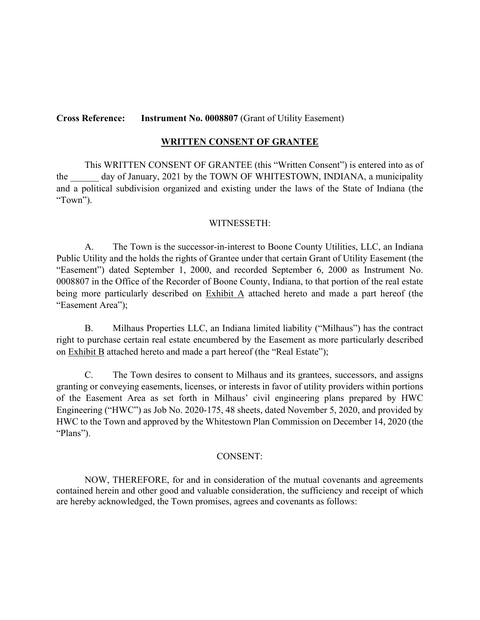### **Cross Reference: Instrument No. 0008807** (Grant of Utility Easement)

#### **WRITTEN CONSENT OF GRANTEE**

This WRITTEN CONSENT OF GRANTEE (this "Written Consent") is entered into as of the day of January, 2021 by the TOWN OF WHITESTOWN, INDIANA, a municipality and a political subdivision organized and existing under the laws of the State of Indiana (the "Town").

#### WITNESSETH:

A. The Town is the successor-in-interest to Boone County Utilities, LLC, an Indiana Public Utility and the holds the rights of Grantee under that certain Grant of Utility Easement (the "Easement") dated September 1, 2000, and recorded September 6, 2000 as Instrument No. 0008807 in the Office of the Recorder of Boone County, Indiana, to that portion of the real estate being more particularly described on Exhibit A attached hereto and made a part hereof (the "Easement Area");

B. Milhaus Properties LLC, an Indiana limited liability ("Milhaus") has the contract right to purchase certain real estate encumbered by the Easement as more particularly described on Exhibit B attached hereto and made a part hereof (the "Real Estate");

C. The Town desires to consent to Milhaus and its grantees, successors, and assigns granting or conveying easements, licenses, or interests in favor of utility providers within portions of the Easement Area as set forth in Milhaus' civil engineering plans prepared by HWC Engineering ("HWC") as Job No. 2020-175, 48 sheets, dated November 5, 2020, and provided by HWC to the Town and approved by the Whitestown Plan Commission on December 14, 2020 (the "Plans").

#### CONSENT:

NOW, THEREFORE, for and in consideration of the mutual covenants and agreements contained herein and other good and valuable consideration, the sufficiency and receipt of which are hereby acknowledged, the Town promises, agrees and covenants as follows: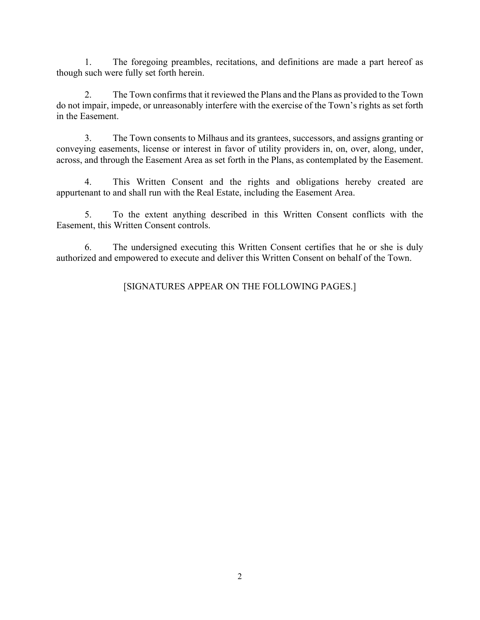1. The foregoing preambles, recitations, and definitions are made a part hereof as though such were fully set forth herein.

2. The Town confirms that it reviewed the Plans and the Plans as provided to the Town do not impair, impede, or unreasonably interfere with the exercise of the Town's rights as set forth in the Easement.

3. The Town consents to Milhaus and its grantees, successors, and assigns granting or conveying easements, license or interest in favor of utility providers in, on, over, along, under, across, and through the Easement Area as set forth in the Plans, as contemplated by the Easement.

4. This Written Consent and the rights and obligations hereby created are appurtenant to and shall run with the Real Estate, including the Easement Area.

5. To the extent anything described in this Written Consent conflicts with the Easement, this Written Consent controls.

6. The undersigned executing this Written Consent certifies that he or she is duly authorized and empowered to execute and deliver this Written Consent on behalf of the Town.

[SIGNATURES APPEAR ON THE FOLLOWING PAGES.]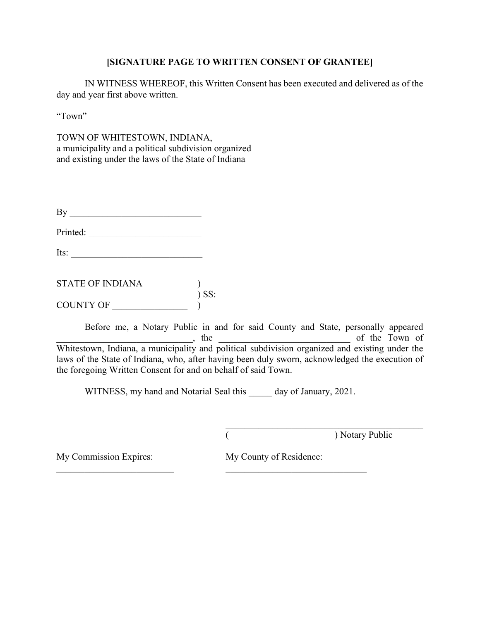## **[SIGNATURE PAGE TO WRITTEN CONSENT OF GRANTEE]**

IN WITNESS WHEREOF, this Written Consent has been executed and delivered as of the day and year first above written.

"Town"

TOWN OF WHITESTOWN, INDIANA, a municipality and a political subdivision organized and existing under the laws of the State of Indiana

| By                      |         |
|-------------------------|---------|
| Printed:                |         |
| Its:                    |         |
| <b>STATE OF INDIANA</b> |         |
| <b>COUNTY OF</b>        | $)$ SS: |

Before me, a Notary Public in and for said County and State, personally appeared  $\Box$  the  $\Box$  the  $\Box$  the  $\Box$  of the Town of Whitestown, Indiana, a municipality and political subdivision organized and existing under the laws of the State of Indiana, who, after having been duly sworn, acknowledged the execution of the foregoing Written Consent for and on behalf of said Town.

WITNESS, my hand and Notarial Seal this day of January, 2021.

 $\_$  , and the set of the set of the set of the set of the set of the set of the set of the set of the set of the set of the set of the set of the set of the set of the set of the set of the set of the set of the set of th

( ) Notary Public

 $\mathcal{L}_\mathcal{L}$  , which is a set of the set of the set of the set of the set of the set of the set of the set of the set of the set of the set of the set of the set of the set of the set of the set of the set of the set of

My Commission Expires: My County of Residence: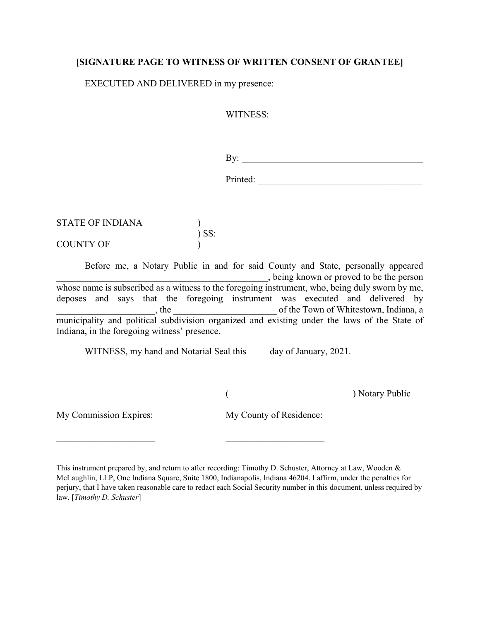## **[SIGNATURE PAGE TO WITNESS OF WRITTEN CONSENT OF GRANTEE]**

EXECUTED AND DELIVERED in my presence:

WITNESS:

By: <u>superior and the set of the set of the set of the set of the set of the set of the set of the set of the set of the set of the set of the set of the set of the set of the set of the set of the set of the set of the se</u>

Printed:

STATE OF INDIANA )  $\sum$  SS: COUNTY OF

Before me, a Notary Public in and for said County and State, personally appeared \_\_\_\_\_\_\_\_\_\_\_\_\_\_\_\_\_\_\_\_\_\_\_\_\_\_\_\_\_\_\_\_\_\_\_\_\_\_\_\_\_\_\_\_\_, being known or proved to be the person whose name is subscribed as a witness to the foregoing instrument, who, being duly sworn by me, deposes and says that the foregoing instrument was executed and delivered by \_\_\_\_\_\_\_\_\_\_\_\_\_\_\_\_\_\_\_\_\_, the \_\_\_\_\_\_\_\_\_\_\_\_\_\_\_\_\_\_\_\_\_\_ of the Town of Whitestown, Indiana, a municipality and political subdivision organized and existing under the laws of the State of Indiana, in the foregoing witness' presence.

WITNESS, my hand and Notarial Seal this day of January, 2021.

(Bernard Communication Contract Communication Communication Communication Communication Communication Communication Communication Communication Communication Communication Communication Communication Communication Communic

My Commission Expires: My County of Residence:

This instrument prepared by, and return to after recording: Timothy D. Schuster, Attorney at Law, Wooden & McLaughlin, LLP, One Indiana Square, Suite 1800, Indianapolis, Indiana 46204. I affirm, under the penalties for perjury, that I have taken reasonable care to redact each Social Security number in this document, unless required by law. [*Timothy D. Schuster*]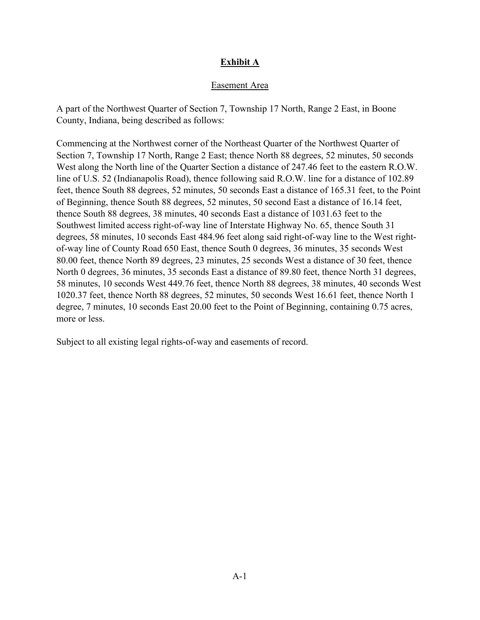# **Exhibit A**

## Easement Area

A part of the Northwest Quarter of Section 7, Township 17 North, Range 2 East, in Boone County, Indiana, being described as follows:

Commencing at the Northwest corner of the Northeast Quarter of the Northwest Quarter of Section 7, Township 17 North, Range 2 East; thence North 88 degrees, 52 minutes, 50 seconds West along the North line of the Quarter Section a distance of 247.46 feet to the eastern R.O.W. line of U.S. 52 (Indianapolis Road), thence following said R.O.W. line for a distance of 102.89 feet, thence South 88 degrees, 52 minutes, 50 seconds East a distance of 165.31 feet, to the Point of Beginning, thence South 88 degrees, 52 minutes, 50 second East a distance of 16.14 feet, thence South 88 degrees, 38 minutes, 40 seconds East a distance of 1031.63 feet to the Southwest limited access right-of-way line of Interstate Highway No. 65, thence South 31 degrees, 58 minutes, 10 seconds East 484.96 feet along said right-of-way line to the West rightof-way line of County Road 650 East, thence South 0 degrees, 36 minutes, 35 seconds West 80.00 feet, thence North 89 degrees, 23 minutes, 25 seconds West a distance of 30 feet, thence North 0 degrees, 36 minutes, 35 seconds East a distance of 89.80 feet, thence North 31 degrees, 58 minutes, 10 seconds West 449.76 feet, thence North 88 degrees, 38 minutes, 40 seconds West 1020.37 feet, thence North 88 degrees, 52 minutes, 50 seconds West 16.61 feet, thence North 1 degree, 7 minutes, 10 seconds East 20.00 feet to the Point of Beginning, containing 0.75 acres, more or less.

Subject to all existing legal rights-of-way and easements of record.